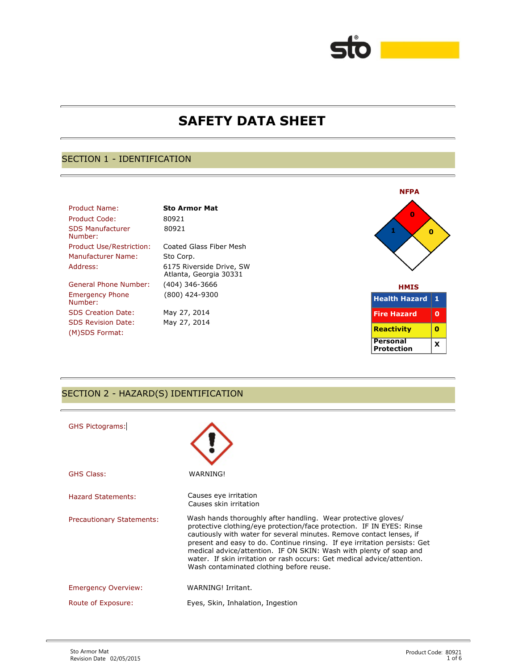# **SAFETY DATA SHEET**

## SECTION 1 - IDENTIFICATION

| Product Name:                      | <b>Sto Armor Mat</b>                               |                    |
|------------------------------------|----------------------------------------------------|--------------------|
| Product Code:                      | 80921                                              | Ω                  |
| <b>SDS Manufacturer</b><br>Number: | 80921                                              |                    |
| <b>Product Use/Restriction:</b>    | Coated Glass Fiber Mesh                            |                    |
| Manufacturer Name:                 | Sto Corp.                                          |                    |
| Address:                           | 6175 Riverside Drive, SW<br>Atlanta, Georgia 30331 |                    |
| General Phone Number:              | (404) 346-3666                                     | <b>HMIS</b>        |
| <b>Emergency Phone</b><br>Number:  | (800) 424-9300                                     | <b>Health Haza</b> |
| <b>SDS Creation Date:</b>          | May 27, 2014                                       | <b>Fire Hazard</b> |
| <b>SDS Revision Date:</b>          | May 27, 2014                                       |                    |
| (M)SDS Format:                     |                                                    | <b>Reactivity</b>  |





## SECTION 2 - HAZARD(S) IDENTIFICATION

| <b>GHS Pictograms:</b>           |                                                                                                                                                                                                                                                                                                                                                                                                                                                                                          |
|----------------------------------|------------------------------------------------------------------------------------------------------------------------------------------------------------------------------------------------------------------------------------------------------------------------------------------------------------------------------------------------------------------------------------------------------------------------------------------------------------------------------------------|
| <b>GHS Class:</b>                | WARNING!                                                                                                                                                                                                                                                                                                                                                                                                                                                                                 |
| Hazard Statements:               | Causes eye irritation<br>Causes skin irritation                                                                                                                                                                                                                                                                                                                                                                                                                                          |
| <b>Precautionary Statements:</b> | Wash hands thoroughly after handling. Wear protective gloves/<br>protective clothing/eye protection/face protection. IF IN EYES: Rinse<br>cautiously with water for several minutes. Remove contact lenses, if<br>present and easy to do. Continue rinsing. If eye irritation persists: Get<br>medical advice/attention. IF ON SKIN: Wash with plenty of soap and<br>water. If skin irritation or rash occurs: Get medical advice/attention.<br>Wash contaminated clothing before reuse. |
| <b>Emergency Overview:</b>       | WARNING! Irritant.                                                                                                                                                                                                                                                                                                                                                                                                                                                                       |
| Route of Exposure:               | Eyes, Skin, Inhalation, Ingestion                                                                                                                                                                                                                                                                                                                                                                                                                                                        |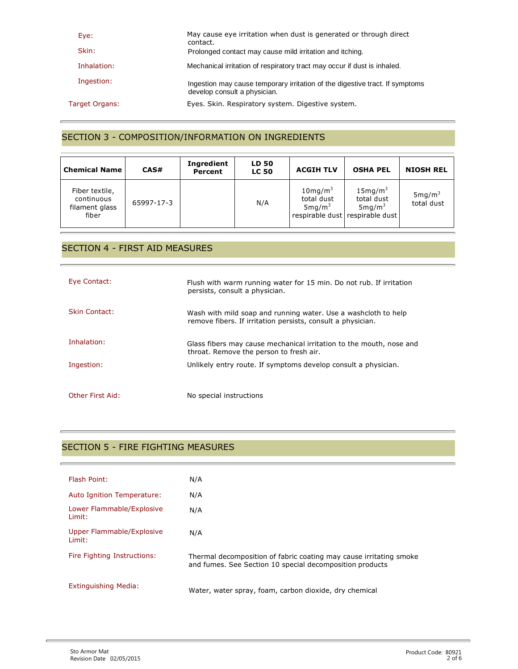| Eye:           | May cause eye irritation when dust is generated or through direct<br>contact.                                |
|----------------|--------------------------------------------------------------------------------------------------------------|
| Skin:          | Prolonged contact may cause mild irritation and itching.                                                     |
| Inhalation:    | Mechanical irritation of respiratory tract may occur if dust is inhaled.                                     |
| Ingestion:     | Ingestion may cause temporary irritation of the digestive tract. If symptoms<br>develop consult a physician. |
| Target Organs: | Eyes. Skin. Respiratory system. Digestive system.                                                            |

## SECTION 3 - COMPOSITION/INFORMATION ON INGREDIENTS

| <b>Chemical Name</b>                                    | CAS#       | <b>Ingredient</b><br>Percent | <b>LD 50</b><br><b>LC 50</b> | <b>ACGIH TLV</b>                                          | <b>OSHA PEL</b>                                                                           | <b>NIOSH REL</b>                 |
|---------------------------------------------------------|------------|------------------------------|------------------------------|-----------------------------------------------------------|-------------------------------------------------------------------------------------------|----------------------------------|
| Fiber textile,<br>continuous<br>filament glass<br>fiber | 65997-17-3 |                              | N/A                          | $10$ mg/m <sup>3</sup><br>total dust<br>$5 \text{mg/m}^3$ | 15mg/m <sup>3</sup><br>total dust<br>$5 \text{mg/m}^3$<br>respirable dust respirable dust | 5mg/m <sup>3</sup><br>total dust |

## SECTION 4 - FIRST AID MEASURES

| Eye Contact:     | Flush with warm running water for 15 min. Do not rub. If irritation<br>persists, consult a physician.                          |
|------------------|--------------------------------------------------------------------------------------------------------------------------------|
| Skin Contact:    | Wash with mild soap and running water. Use a wash cloth to help<br>remove fibers. If irritation persists, consult a physician. |
| Inhalation:      | Glass fibers may cause mechanical irritation to the mouth, nose and<br>throat. Remove the person to fresh air.                 |
| Ingestion:       | Unlikely entry route. If symptoms develop consult a physician.                                                                 |
| Other First Aid: | No special instructions                                                                                                        |

## SECTION 5 - FIRE FIGHTING MEASURES

| Flash Point:                        | N/A                                                                                                                            |
|-------------------------------------|--------------------------------------------------------------------------------------------------------------------------------|
| Auto Ignition Temperature:          | N/A                                                                                                                            |
| Lower Flammable/Explosive<br>Limit: | N/A                                                                                                                            |
| Upper Flammable/Explosive<br>Limit: | N/A                                                                                                                            |
| Fire Fighting Instructions:         | Thermal decomposition of fabric coating may cause irritating smoke<br>and fumes. See Section 10 special decomposition products |
| Extinguishing Media:                | Water, water spray, foam, carbon dioxide, dry chemical                                                                         |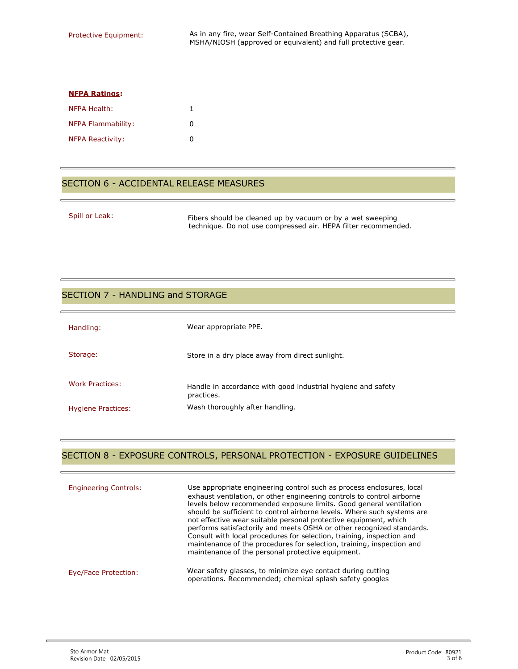| <b>NFPA Ratings:</b>      |   |
|---------------------------|---|
| NFPA Health:              |   |
| <b>NFPA Flammability:</b> | n |
| <b>NFPA Reactivity:</b>   | n |

#### SECTION 6 - ACCIDENTAL RELEASE MEASURES

Spill or Leak: Fibers should be cleaned up by vacuum or by a wet sweeping technique. Do not use compressed air. HEPA filter recommended.

#### SECTION 7 - HANDLING and STORAGE

| Handling:                 | Wear appropriate PPE.                                                      |
|---------------------------|----------------------------------------------------------------------------|
| Storage:                  | Store in a dry place away from direct sunlight.                            |
| Work Practices:           | Handle in accordance with good industrial hygiene and safety<br>practices. |
| <b>Hygiene Practices:</b> | Wash thoroughly after handling.                                            |

#### SECTION 8 - EXPOSURE CONTROLS, PERSONAL PROTECTION - EXPOSURE GUIDELINES

| <b>Engineering Controls:</b> | Use appropriate engineering control such as process enclosures, local<br>exhaust ventilation, or other engineering controls to control airborne<br>levels below recommended exposure limits. Good general ventilation<br>should be sufficient to control airborne levels. Where such systems are<br>not effective wear suitable personal protective equipment, which<br>performs satisfactorily and meets OSHA or other recognized standards.<br>Consult with local procedures for selection, training, inspection and<br>maintenance of the procedures for selection, training, inspection and<br>maintenance of the personal protective equipment. |
|------------------------------|------------------------------------------------------------------------------------------------------------------------------------------------------------------------------------------------------------------------------------------------------------------------------------------------------------------------------------------------------------------------------------------------------------------------------------------------------------------------------------------------------------------------------------------------------------------------------------------------------------------------------------------------------|
| Eye/Face Protection:         | Wear safety glasses, to minimize eye contact during cutting<br>operations. Recommended; chemical splash safety googles                                                                                                                                                                                                                                                                                                                                                                                                                                                                                                                               |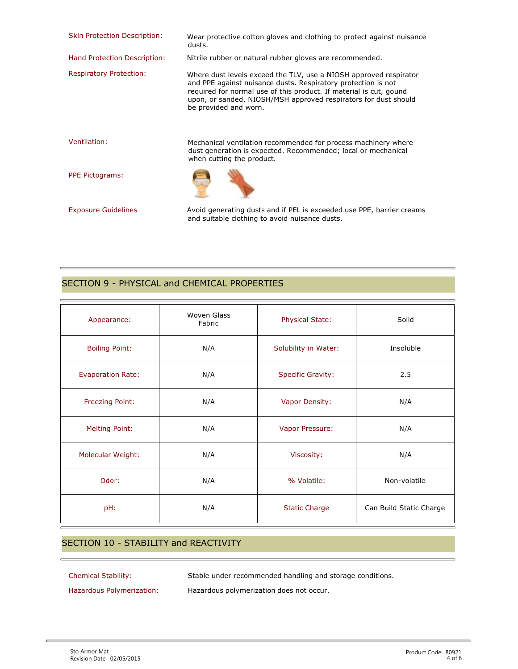| <b>Skin Protection Description:</b> | Wear protective cotton gloves and clothing to protect against nuisance<br>dusts.                                                                                                                                                                                                                     |
|-------------------------------------|------------------------------------------------------------------------------------------------------------------------------------------------------------------------------------------------------------------------------------------------------------------------------------------------------|
| Hand Protection Description:        | Nitrile rubber or natural rubber gloves are recommended.                                                                                                                                                                                                                                             |
| <b>Respiratory Protection:</b>      | Where dust levels exceed the TLV, use a NIOSH approved respirator<br>and PPE against nuisance dusts. Respiratory protection is not<br>required for normal use of this product. If material is cut, gound<br>upon, or sanded, NIOSH/MSH approved respirators for dust should<br>be provided and worn. |
| Ventilation:                        | Mechanical ventilation recommended for process machinery where<br>dust generation is expected. Recommended; local or mechanical<br>when cutting the product.                                                                                                                                         |
| <b>PPE Pictograms:</b>              |                                                                                                                                                                                                                                                                                                      |
| <b>Exposure Guidelines</b>          | Avoid generating dusts and if PEL is exceeded use PPE, barrier creams<br>and suitable clothing to avoid nuisance dusts.                                                                                                                                                                              |

## SECTION 9 - PHYSICAL and CHEMICAL PROPERTIES

| Appearance:              | <b>Woven Glass</b><br>Fabric | <b>Physical State:</b>   | Solid                   |
|--------------------------|------------------------------|--------------------------|-------------------------|
| <b>Boiling Point:</b>    | N/A                          | Solubility in Water:     | Insoluble               |
| <b>Evaporation Rate:</b> | N/A                          | <b>Specific Gravity:</b> | 2.5                     |
| Freezing Point:          | N/A                          | Vapor Density:           | N/A                     |
| <b>Melting Point:</b>    | N/A                          | Vapor Pressure:          | N/A                     |
| <b>Molecular Weight:</b> | N/A                          | Viscosity:               | N/A                     |
| Odor:                    | N/A                          | % Volatile:              | Non-volatile            |
| pH:                      | N/A                          | <b>Static Charge</b>     | Can Build Static Charge |

### SECTION 10 - STABILITY and REACTIVITY

Chemical Stability: Stable under recommended handling and storage conditions.

Hazardous Polymerization: Hazardous polymerization does not occur.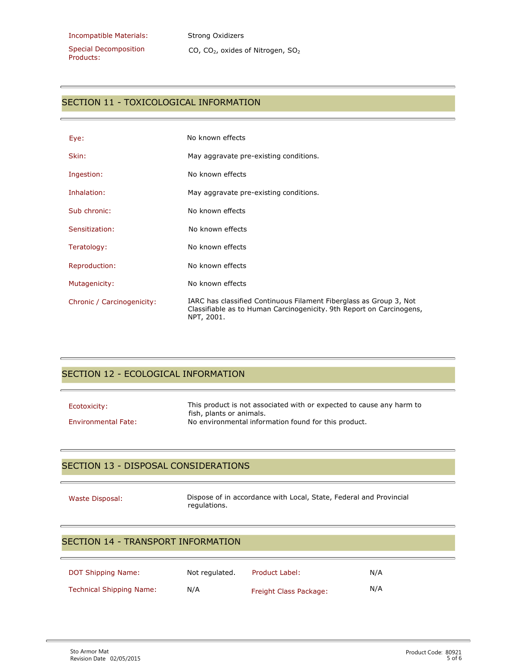Special Decomposition Products:

CO, CO<sub>2</sub>, oxides of Nitrogen, SO<sub>2</sub>

### SECTION 11 - TOXICOLOGICAL INFORMATION

| Eye:                       | No known effects                                                                                                                                         |
|----------------------------|----------------------------------------------------------------------------------------------------------------------------------------------------------|
| Skin:                      | May aggravate pre-existing conditions.                                                                                                                   |
| Ingestion:                 | No known effects                                                                                                                                         |
| Inhalation:                | May aggravate pre-existing conditions.                                                                                                                   |
| Sub chronic:               | No known effects                                                                                                                                         |
| Sensitization:             | No known effects                                                                                                                                         |
| Teratology:                | No known effects                                                                                                                                         |
| Reproduction:              | No known effects                                                                                                                                         |
| Mutagenicity:              | No known effects                                                                                                                                         |
| Chronic / Carcinogenicity: | IARC has classified Continuous Filament Fiberglass as Group 3, Not<br>Classifiable as to Human Carcinogenicity. 9th Report on Carcinogens,<br>NPT, 2001. |

## SECTION 12 - ECOLOGICAL INFORMATION

| Ecotoxicity:               | This product is not associated with or expected to cause any harm to<br>fish, plants or animals. |
|----------------------------|--------------------------------------------------------------------------------------------------|
| <b>Environmental Fate:</b> | No environmental information found for this product.                                             |

#### SECTION 13 - DISPOSAL CONSIDERATIONS

Waste Disposal: Dispose of in accordance with Local, State, Federal and Provincial regulations.

## SECTION 14 - TRANSPORT INFORMATION

| <b>DOT Shipping Name:</b> | Not regulated. | Product Label:         | N/A |
|---------------------------|----------------|------------------------|-----|
| Technical Shipping Name:  | N/A            | Freight Class Package: | N/A |